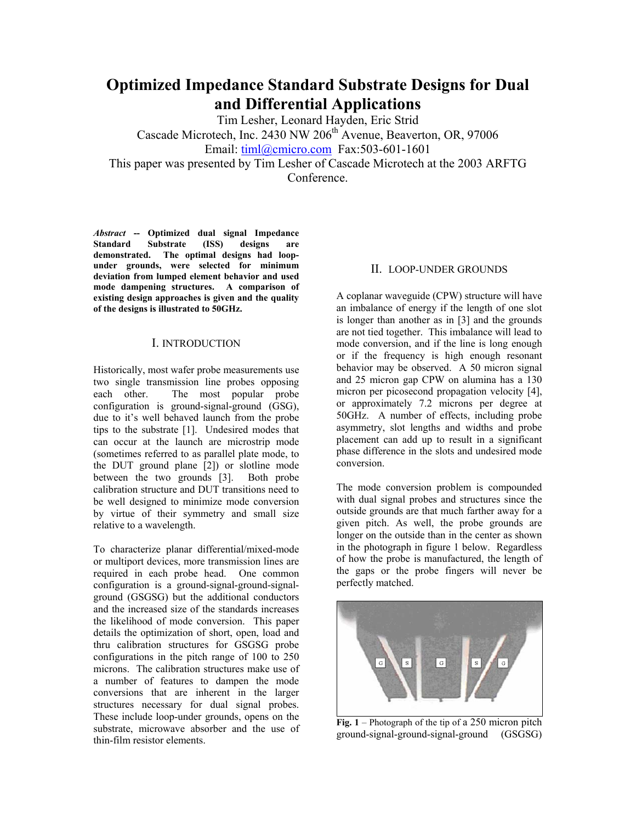# **Optimized Impedance Standard Substrate Designs for Dual and Differential Applications**

Tim Lesher, Leonard Hayden, Eric Strid

Cascade Microtech, Inc. 2430 NW 206<sup>th</sup> Avenue, Beaverton, OR, 97006

Email: timl@cmicro.com Fax:503-601-1601

This paper was presented by Tim Lesher of Cascade Microtech at the 2003 ARFTG Conference.

*Abstract* **-- Optimized dual signal Impedance Standard Substrate (ISS) designs are demonstrated. The optimal designs had loopunder grounds, were selected for minimum deviation from lumped element behavior and used mode dampening structures. A comparison of existing design approaches is given and the quality of the designs is illustrated to 50GHz.** 

## I. INTRODUCTION

Historically, most wafer probe measurements use two single transmission line probes opposing each other. The most popular probe configuration is ground-signal-ground (GSG), due to it's well behaved launch from the probe tips to the substrate [1]. Undesired modes that can occur at the launch are microstrip mode (sometimes referred to as parallel plate mode, to the DUT ground plane [2]) or slotline mode between the two grounds [3]. Both probe calibration structure and DUT transitions need to be well designed to minimize mode conversion by virtue of their symmetry and small size relative to a wavelength.

To characterize planar differential/mixed-mode or multiport devices, more transmission lines are required in each probe head. One common configuration is a ground-signal-ground-signalground (GSGSG) but the additional conductors and the increased size of the standards increases the likelihood of mode conversion. This paper details the optimization of short, open, load and thru calibration structures for GSGSG probe configurations in the pitch range of 100 to 250 microns. The calibration structures make use of a number of features to dampen the mode conversions that are inherent in the larger structures necessary for dual signal probes. These include loop-under grounds, opens on the substrate, microwave absorber and the use of thin-film resistor elements.

### II. LOOP-UNDER GROUNDS

A coplanar waveguide (CPW) structure will have an imbalance of energy if the length of one slot is longer than another as in [3] and the grounds are not tied together. This imbalance will lead to mode conversion, and if the line is long enough or if the frequency is high enough resonant behavior may be observed. A 50 micron signal and 25 micron gap CPW on alumina has a 130 micron per picosecond propagation velocity [4], or approximately 7.2 microns per degree at 50GHz. A number of effects, including probe asymmetry, slot lengths and widths and probe placement can add up to result in a significant phase difference in the slots and undesired mode conversion.

The mode conversion problem is compounded with dual signal probes and structures since the outside grounds are that much farther away for a given pitch. As well, the probe grounds are longer on the outside than in the center as shown in the photograph in figure 1 below. Regardless of how the probe is manufactured, the length of the gaps or the probe fingers will never be perfectly matched.



Fig. 1 – Photograph of the tip of a 250 micron pitch ground-signal-ground-signal-ground (GSGSG)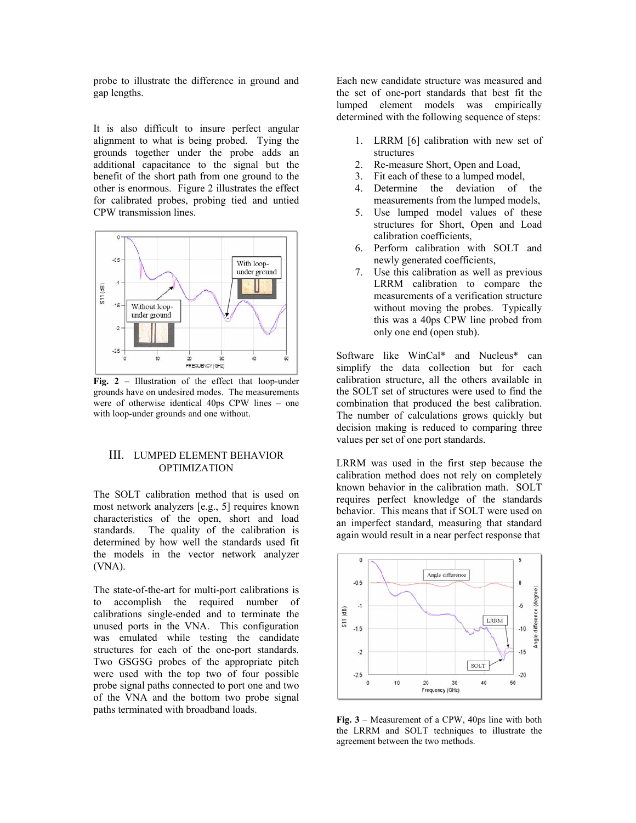probe to illustrate the difference in ground and gap lengths.

It is also difficult to insure perfect angular alignment to what is being probed. Tying the grounds together under the probe adds an additional capacitance to the signal but the benefit of the short path from one ground to the other is enormous. Figure 2 illustrates the effect for calibrated probes, probing tied and untied CPW transmission lines.



**Fig. 2** – Illustration of the effect that loop-under grounds have on undesired modes. The measurements were of otherwise identical 40ps CPW lines – one with loop-under grounds and one without.

#### III. LUMPED ELEMENT BEHAVIOR **OPTIMIZATION**

The SOLT calibration method that is used on most network analyzers [e.g., 5] requires known characteristics of the open, short and load standards. The quality of the calibration is determined by how well the standards used fit the models in the vector network analyzer (VNA).

The state-of-the-art for multi-port calibrations is to accomplish the required number of calibrations single-ended and to terminate the unused ports in the VNA. This configuration was emulated while testing the candidate structures for each of the one-port standards. Two GSGSG probes of the appropriate pitch were used with the top two of four possible probe signal paths connected to port one and two of the VNA and the bottom two probe signal paths terminated with broadband loads.

Each new candidate structure was measured and the set of one-port standards that best fit the lumped element models was empirically determined with the following sequence of steps:

- 1. LRRM [6] calibration with new set of structures
- 2. Re-measure Short, Open and Load,
- 3. Fit each of these to a lumped model,
- 4. Determine the deviation of the measurements from the lumped models,
- 5. Use lumped model values of these structures for Short, Open and Load calibration coefficients,
- 6. Perform calibration with SOLT and newly generated coefficients,
- 7. Use this calibration as well as previous LRRM calibration to compare the measurements of a verification structure without moving the probes. Typically this was a 40ps CPW line probed from only one end (open stub).

Software like WinCal\* and Nucleus\* can simplify the data collection but for each calibration structure, all the others available in the SOLT set of structures were used to find the combination that produced the best calibration. The number of calculations grows quickly but decision making is reduced to comparing three values per set of one port standards.

LRRM was used in the first step because the calibration method does not rely on completely known behavior in the calibration math. SOLT requires perfect knowledge of the standards behavior. This means that if SOLT were used on an imperfect standard, measuring that standard again would result in a near perfect response that



**Fig. 3** – Measurement of a CPW, 40ps line with both the LRRM and SOLT techniques to illustrate the agreement between the two methods.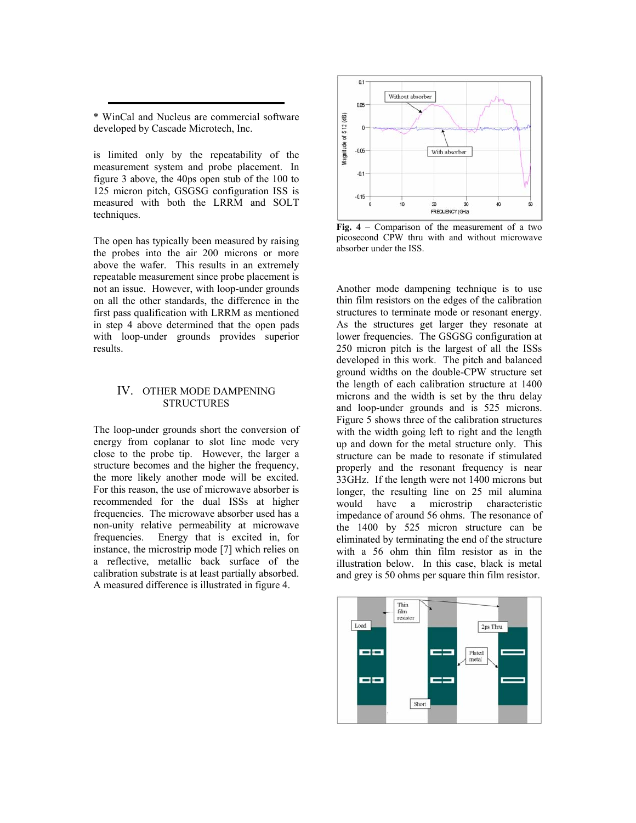\* WinCal and Nucleus are commercial software developed by Cascade Microtech, Inc.

is limited only by the repeatability of the measurement system and probe placement. In figure 3 above, the 40ps open stub of the 100 to 125 micron pitch, GSGSG configuration ISS is measured with both the LRRM and SOLT techniques.

The open has typically been measured by raising the probes into the air 200 microns or more above the wafer. This results in an extremely repeatable measurement since probe placement is not an issue. However, with loop-under grounds on all the other standards, the difference in the first pass qualification with LRRM as mentioned in step 4 above determined that the open pads with loop-under grounds provides superior results.

#### IV. OTHER MODE DAMPENING **STRUCTURES**

The loop-under grounds short the conversion of energy from coplanar to slot line mode very close to the probe tip. However, the larger a structure becomes and the higher the frequency, the more likely another mode will be excited. For this reason, the use of microwave absorber is recommended for the dual ISSs at higher frequencies. The microwave absorber used has a non-unity relative permeability at microwave frequencies. Energy that is excited in, for instance, the microstrip mode [7] which relies on a reflective, metallic back surface of the calibration substrate is at least partially absorbed. A measured difference is illustrated in figure 4.



**Fig. 4** – Comparison of the measurement of a two picosecond CPW thru with and without microwave absorber under the ISS.

Another mode dampening technique is to use thin film resistors on the edges of the calibration structures to terminate mode or resonant energy. As the structures get larger they resonate at lower frequencies. The GSGSG configuration at 250 micron pitch is the largest of all the ISSs developed in this work. The pitch and balanced ground widths on the double-CPW structure set the length of each calibration structure at 1400 microns and the width is set by the thru delay and loop-under grounds and is 525 microns. Figure 5 shows three of the calibration structures with the width going left to right and the length up and down for the metal structure only. This structure can be made to resonate if stimulated properly and the resonant frequency is near 33GHz. If the length were not 1400 microns but longer, the resulting line on 25 mil alumina would have a microstrip characteristic impedance of around 56 ohms. The resonance of the 1400 by 525 micron structure can be eliminated by terminating the end of the structure with a 56 ohm thin film resistor as in the illustration below. In this case, black is metal and grey is 50 ohms per square thin film resistor.